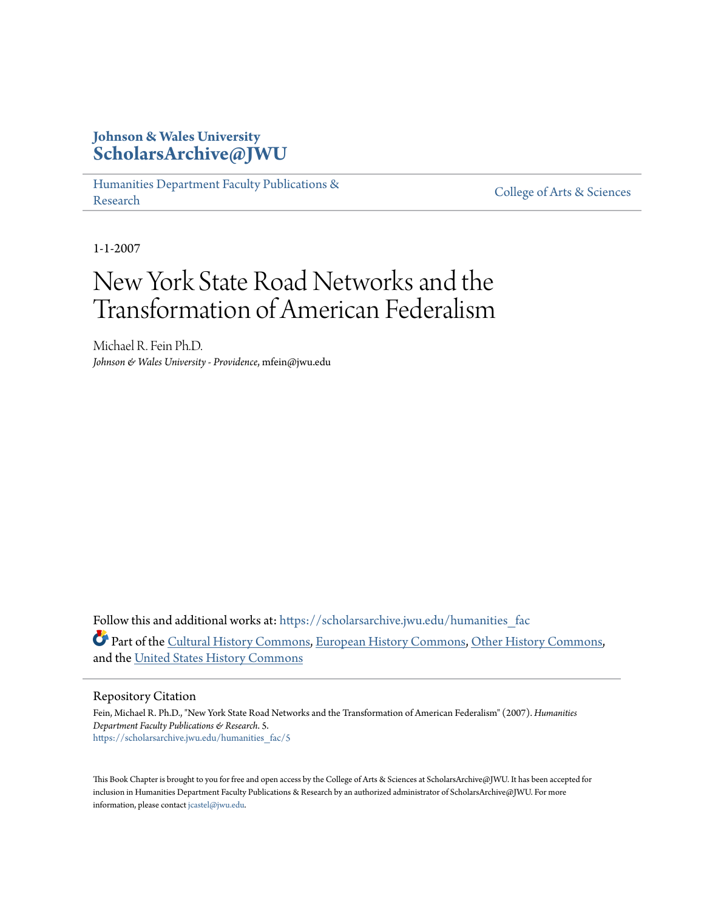# **Johnson & Wales University [ScholarsArchive@JWU](https://scholarsarchive.jwu.edu?utm_source=scholarsarchive.jwu.edu%2Fhumanities_fac%2F5&utm_medium=PDF&utm_campaign=PDFCoverPages)**

[Humanities Department Faculty Publications &](https://scholarsarchive.jwu.edu/humanities_fac?utm_source=scholarsarchive.jwu.edu%2Fhumanities_fac%2F5&utm_medium=PDF&utm_campaign=PDFCoverPages) rumanties Department Pacifity Publications & [College of Arts & Sciences](https://scholarsarchive.jwu.edu/arts_sciences?utm_source=scholarsarchive.jwu.edu%2Fhumanities_fac%2F5&utm_medium=PDF&utm_campaign=PDFCoverPages)

1-1-2007

# New York State Road Networks and the Transformation of American Federalism

Michael R. Fein Ph.D. *Johnson & Wales University - Providence*, mfein@jwu.edu

Follow this and additional works at: https://scholarsarchive.jwu.edu/humanities fac Part of the [Cultural History Commons,](http://network.bepress.com/hgg/discipline/496?utm_source=scholarsarchive.jwu.edu%2Fhumanities_fac%2F5&utm_medium=PDF&utm_campaign=PDFCoverPages) [European History Commons](http://network.bepress.com/hgg/discipline/492?utm_source=scholarsarchive.jwu.edu%2Fhumanities_fac%2F5&utm_medium=PDF&utm_campaign=PDFCoverPages), [Other History Commons](http://network.bepress.com/hgg/discipline/508?utm_source=scholarsarchive.jwu.edu%2Fhumanities_fac%2F5&utm_medium=PDF&utm_campaign=PDFCoverPages), and the [United States History Commons](http://network.bepress.com/hgg/discipline/495?utm_source=scholarsarchive.jwu.edu%2Fhumanities_fac%2F5&utm_medium=PDF&utm_campaign=PDFCoverPages)

Repository Citation

Fein, Michael R. Ph.D., "New York State Road Networks and the Transformation of American Federalism" (2007). *Humanities Department Faculty Publications & Research*. 5. [https://scholarsarchive.jwu.edu/humanities\\_fac/5](https://scholarsarchive.jwu.edu/humanities_fac/5?utm_source=scholarsarchive.jwu.edu%2Fhumanities_fac%2F5&utm_medium=PDF&utm_campaign=PDFCoverPages)

This Book Chapter is brought to you for free and open access by the College of Arts & Sciences at ScholarsArchive@JWU. It has been accepted for inclusion in Humanities Department Faculty Publications & Research by an authorized administrator of ScholarsArchive@JWU. For more information, please contact [jcastel@jwu.edu.](mailto:jcastel@jwu.edu)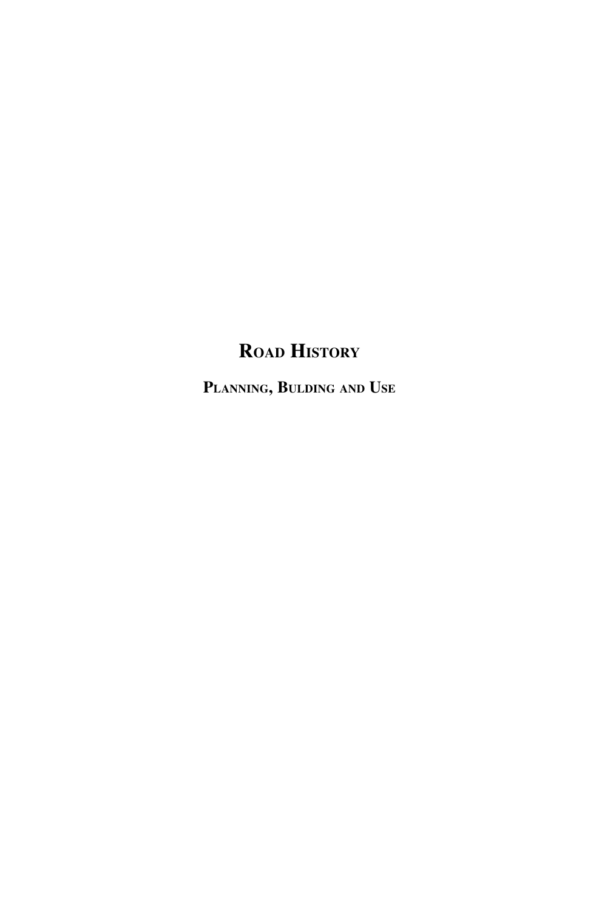# **ROAD HISTORY**

**PLANNING, BULDING AND USE**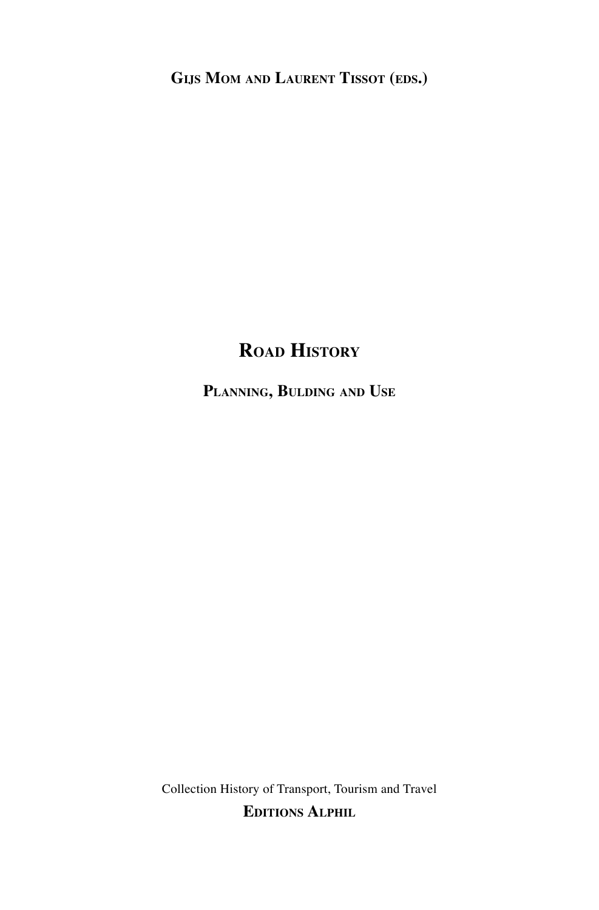**GIJS MOM AND LAURENT TISSOT (EDS.)**

# **ROAD HISTORY**

**PLANNING, BULDING AND USE**

Collection History of Transport, Tourism and Travel **EDITIONS ALPHIL**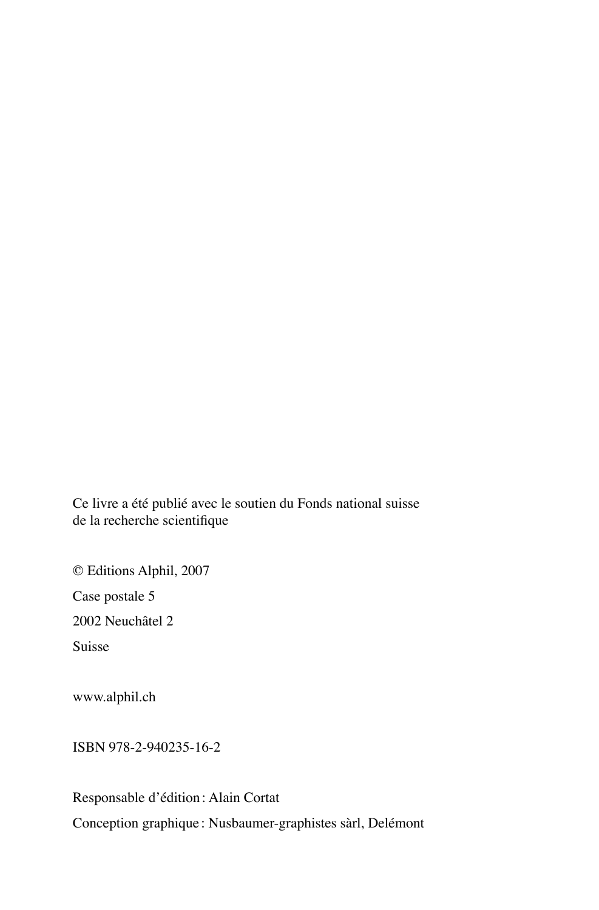Ce livre a été publié avec le soutien du Fonds national suisse de la recherche scientifique

© Editions Alphil, 2007 Case postale 5 2002 Neuchâtel 2 Suisse

www.alphil.ch

ISBN 978-2-940235-16-2

Responsable d'édition: Alain Cortat Conception graphique : Nusbaumer-graphistes sàrl, Delémont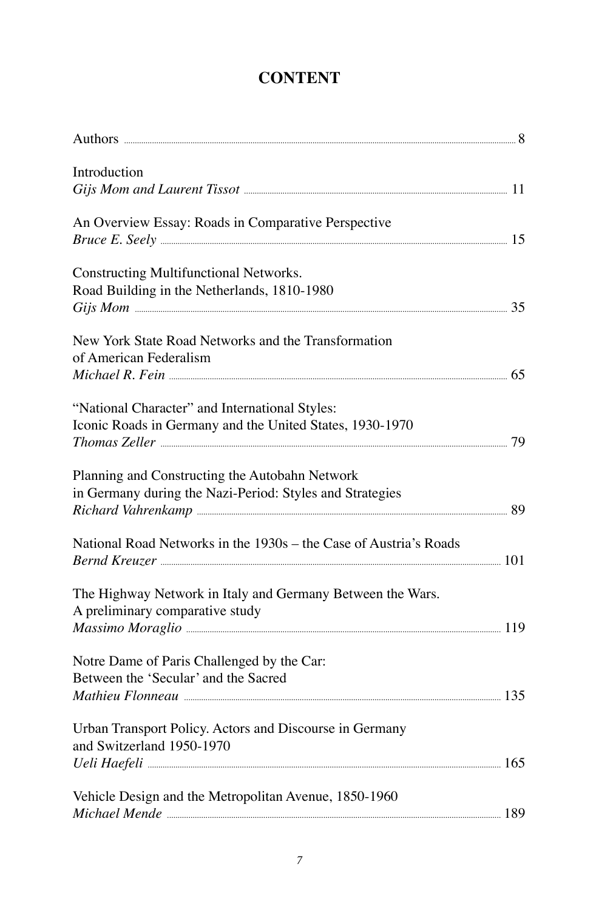## **CONTENT**

| Introduction                                                                                               |  |
|------------------------------------------------------------------------------------------------------------|--|
|                                                                                                            |  |
| An Overview Essay: Roads in Comparative Perspective                                                        |  |
| Constructing Multifunctional Networks.<br>Road Building in the Netherlands, 1810-1980                      |  |
| New York State Road Networks and the Transformation<br>of American Federalism                              |  |
|                                                                                                            |  |
| "National Character" and International Styles:<br>Iconic Roads in Germany and the United States, 1930-1970 |  |
| Planning and Constructing the Autobahn Network<br>in Germany during the Nazi-Period: Styles and Strategies |  |
| National Road Networks in the 1930s - the Case of Austria's Roads                                          |  |
| The Highway Network in Italy and Germany Between the Wars.<br>A preliminary comparative study              |  |
| Notre Dame of Paris Challenged by the Car:<br>Between the 'Secular' and the Sacred                         |  |
| Urban Transport Policy. Actors and Discourse in Germany<br>and Switzerland 1950-1970                       |  |
| Vehicle Design and the Metropolitan Avenue, 1850-1960                                                      |  |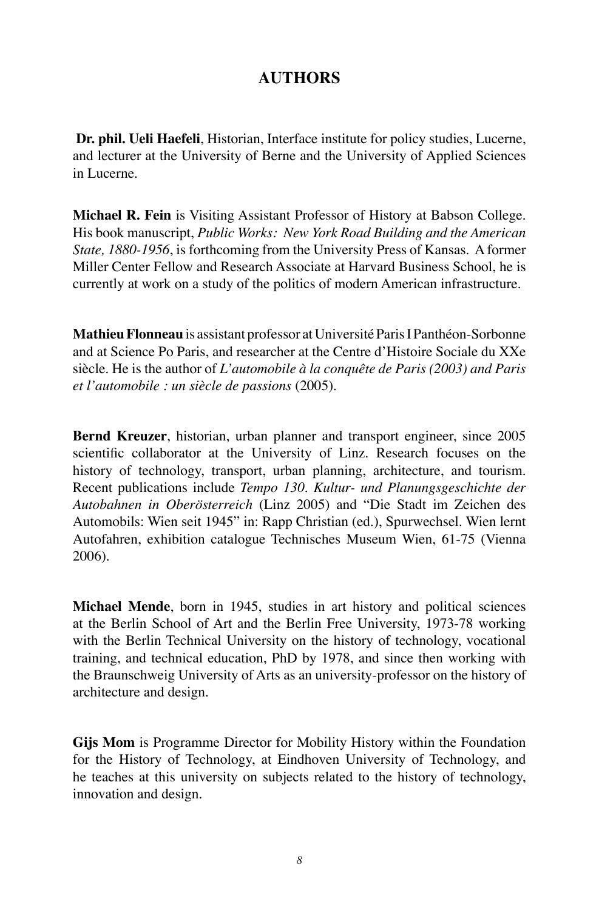### **AUTHORS**

**Dr. phil. Ueli Haefeli**, Historian, Interface institute for policy studies, Lucerne, and lecturer at the University of Berne and the University of Applied Sciences in Lucerne.

**Michael R. Fein** is Visiting Assistant Professor of History at Babson College. His book manuscript, *Public Works: New York Road Building and the American State, 1880-1956*, is forthcoming from the University Press of Kansas. A former Miller Center Fellow and Research Associate at Harvard Business School, he is currently at work on a study of the politics of modern American infrastructure.

**Mathieu Flonneau**is assistant professor at Université Paris I Panthéon-Sorbonne and at Science Po Paris, and researcher at the Centre d'Histoire Sociale du XXe siècle. He is the author of *L'automobile à la conquête de Paris (2003) and Paris et l'automobile : un siècle de passions* (2005).

**Bernd Kreuzer**, historian, urban planner and transport engineer, since 2005 scientific collaborator at the University of Linz. Research focuses on the history of technology, transport, urban planning, architecture, and tourism. Recent publications include *Tempo 130. Kultur- und Planungsgeschichte der Autobahnen in Oberösterreich* (Linz 2005) and "Die Stadt im Zeichen des Automobils: Wien seit 1945" in: Rapp Christian (ed.), Spurwechsel. Wien lernt Autofahren, exhibition catalogue Technisches Museum Wien, 61-75 (Vienna 2006).

**Michael Mende**, born in 1945, studies in art history and political sciences at the Berlin School of Art and the Berlin Free University, 1973-78 working with the Berlin Technical University on the history of technology, vocational training, and technical education, PhD by 1978, and since then working with the Braunschweig University of Arts as an university-professor on the history of architecture and design.

**Gijs Mom** is Programme Director for Mobility History within the Foundation for the History of Technology, at Eindhoven University of Technology, and he teaches at this university on subjects related to the history of technology, innovation and design.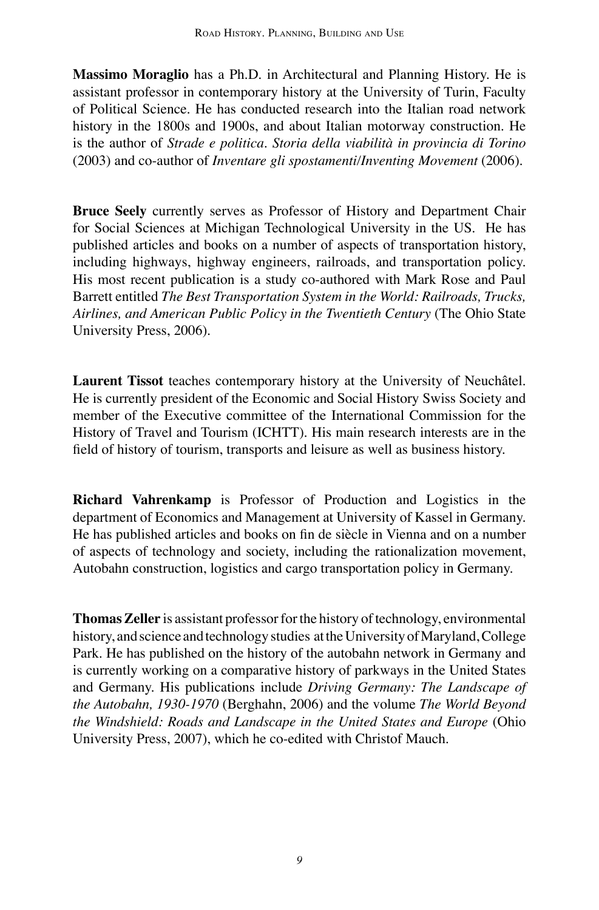**Massimo Moraglio** has a Ph.D. in Architectural and Planning History. He is assistant professor in contemporary history at the University of Turin, Faculty of Political Science. He has conducted research into the Italian road network history in the 1800s and 1900s, and about Italian motorway construction. He is the author of *Strade e politica. Storia della viabilità in provincia di Torino* (2003) and co-author of *Inventare gli spostamenti/Inventing Movement* (2006).

**Bruce Seely** currently serves as Professor of History and Department Chair for Social Sciences at Michigan Technological University in the US. He has published articles and books on a number of aspects of transportation history, including highways, highway engineers, railroads, and transportation policy. His most recent publication is a study co-authored with Mark Rose and Paul Barrett entitled *The Best Transportation System in the World: Railroads, Trucks, Airlines, and American Public Policy in the Twentieth Century* (The Ohio State University Press, 2006).

**Laurent Tissot** teaches contemporary history at the University of Neuchâtel. He is currently president of the Economic and Social History Swiss Society and member of the Executive committee of the International Commission for the History of Travel and Tourism (ICHTT). His main research interests are in the field of history of tourism, transports and leisure as well as business history.

**Richard Vahrenkamp** is Professor of Production and Logistics in the department of Economics and Management at University of Kassel in Germany. He has published articles and books on fin de siècle in Vienna and on a number of aspects of technology and society, including the rationalization movement, Autobahn construction, logistics and cargo transportation policy in Germany.

**Thomas Zeller** is assistant professor for the history of technology, environmental history, and science and technology studies at the University of Maryland, College Park. He has published on the history of the autobahn network in Germany and is currently working on a comparative history of parkways in the United States and Germany. His publications include *Driving Germany: The Landscape of the Autobahn, 1930-1970* (Berghahn, 2006) and the volume *The World Beyond the Windshield: Roads and Landscape in the United States and Europe* (Ohio University Press, 2007), which he co-edited with Christof Mauch.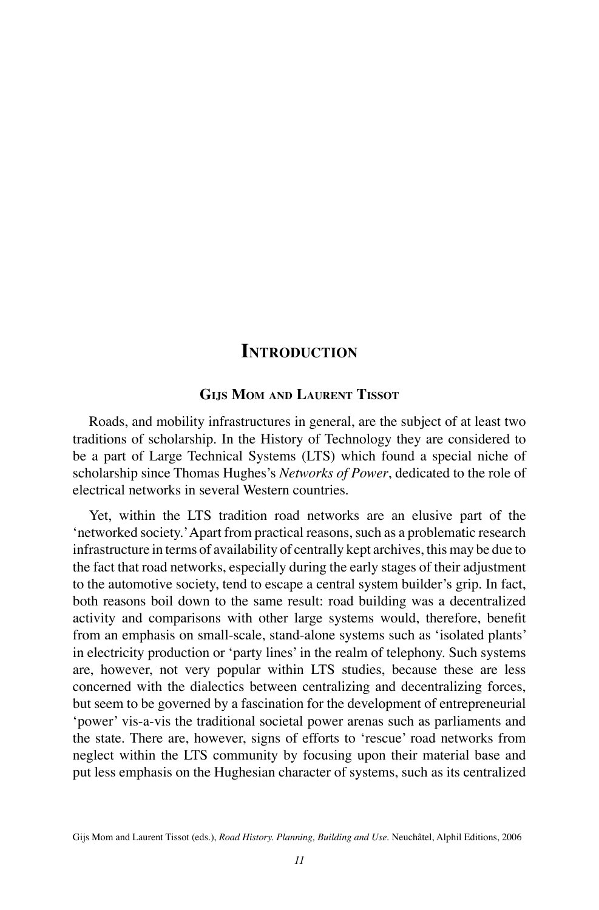### **INTRODUCTION**

### **GIJS MOM AND LAURENT TISSOT**

Roads, and mobility infrastructures in general, are the subject of at least two traditions of scholarship. In the History of Technology they are considered to be a part of Large Technical Systems (LTS) which found a special niche of scholarship since Thomas Hughes's *Networks of Power*, dedicated to the role of electrical networks in several Western countries.

Yet, within the LTS tradition road networks are an elusive part of the 'networked society.'Apart from practical reasons, such as a problematic research infrastructure in terms of availability of centrally kept archives, this may be due to the fact that road networks, especially during the early stages of their adjustment to the automotive society, tend to escape a central system builder's grip. In fact, both reasons boil down to the same result: road building was a decentralized activity and comparisons with other large systems would, therefore, benefit from an emphasis on small-scale, stand-alone systems such as 'isolated plants' in electricity production or 'party lines'in the realm of telephony. Such systems are, however, not very popular within LTS studies, because these are less concerned with the dialectics between centralizing and decentralizing forces, but seem to be governed by a fascination for the development of entrepreneurial 'power' vis-a-vis the traditional societal power arenas such as parliaments and the state. There are, however, signs of efforts to 'rescue' road networks from neglect within the LTS community by focusing upon their material base and put less emphasis on the Hughesian character of systems, such as its centralized

Gijs Mom and Laurent Tissot (eds.), *Road History. Planning, Building and Use*. Neuchâtel, Alphil Editions, 2006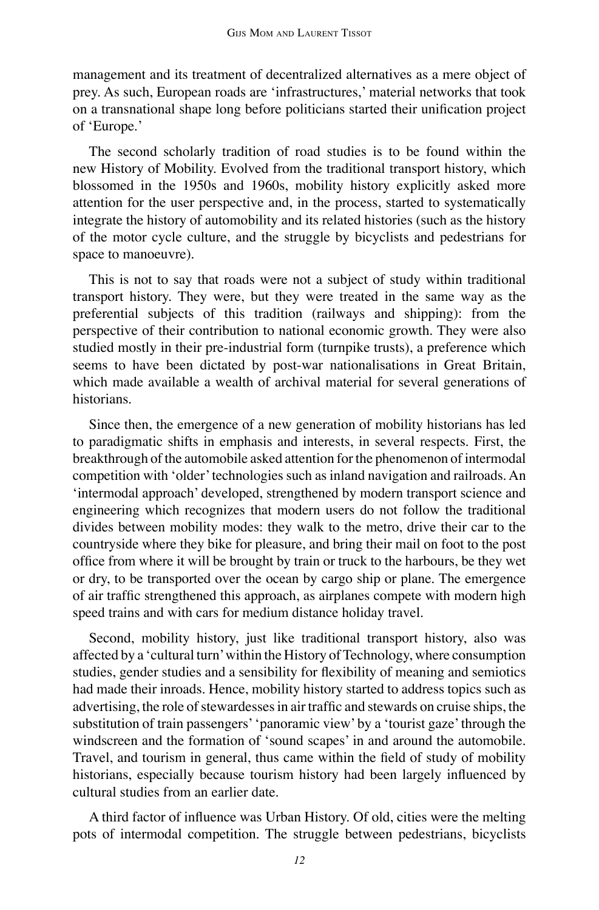management and its treatment of decentralized alternatives as a mere object of prey. As such, European roads are 'infrastructures,' material networks that took on a transnational shape long before politicians started their unification project of 'Europe.'

The second scholarly tradition of road studies is to be found within the new History of Mobility. Evolved from the traditional transport history, which blossomed in the 1950s and 1960s, mobility history explicitly asked more attention for the user perspective and, in the process, started to systematically integrate the history of automobility and its related histories (such as the history of the motor cycle culture, and the struggle by bicyclists and pedestrians for space to manoeuvre).

This is not to say that roads were not a subject of study within traditional transport history. They were, but they were treated in the same way as the preferential subjects of this tradition (railways and shipping): from the perspective of their contribution to national economic growth. They were also studied mostly in their pre-industrial form (turnpike trusts), a preference which seems to have been dictated by post-war nationalisations in Great Britain, which made available a wealth of archival material for several generations of historians.

Since then, the emergence of a new generation of mobility historians has led to paradigmatic shifts in emphasis and interests, in several respects. First, the breakthrough of the automobile asked attention for the phenomenon of intermodal competition with 'older'technologies such as inland navigation and railroads. An 'intermodal approach' developed, strengthened by modern transport science and engineering which recognizes that modern users do not follow the traditional divides between mobility modes: they walk to the metro, drive their car to the countryside where they bike for pleasure, and bring their mail on foot to the post office from where it will be brought by train or truck to the harbours, be they wet or dry, to be transported over the ocean by cargo ship or plane. The emergence of air traffic strengthened this approach, as airplanes compete with modern high speed trains and with cars for medium distance holiday travel.

Second, mobility history, just like traditional transport history, also was affected by a 'cultural turn'within the History of Technology, where consumption studies, gender studies and a sensibility for flexibility of meaning and semiotics had made their inroads. Hence, mobility history started to address topics such as advertising, the role of stewardesses in air traffic and stewards on cruise ships, the substitution of train passengers''panoramic view' by a 'tourist gaze'through the windscreen and the formation of 'sound scapes' in and around the automobile. Travel, and tourism in general, thus came within the field of study of mobility historians, especially because tourism history had been largely influenced by cultural studies from an earlier date.

A third factor of influence was Urban History. Of old, cities were the melting pots of intermodal competition. The struggle between pedestrians, bicyclists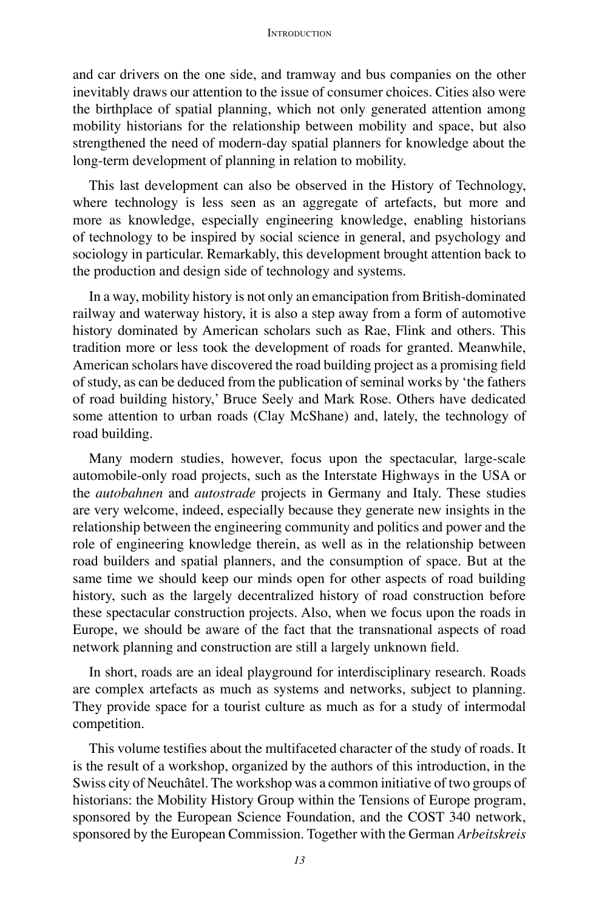#### **INTRODUCTION**

and car drivers on the one side, and tramway and bus companies on the other inevitably draws our attention to the issue of consumer choices. Cities also were the birthplace of spatial planning, which not only generated attention among mobility historians for the relationship between mobility and space, but also strengthened the need of modern-day spatial planners for knowledge about the long-term development of planning in relation to mobility.

This last development can also be observed in the History of Technology, where technology is less seen as an aggregate of artefacts, but more and more as knowledge, especially engineering knowledge, enabling historians of technology to be inspired by social science in general, and psychology and sociology in particular. Remarkably, this development brought attention back to the production and design side of technology and systems.

In a way, mobility history is not only an emancipation from British-dominated railway and waterway history, it is also a step away from a form of automotive history dominated by American scholars such as Rae, Flink and others. This tradition more or less took the development of roads for granted. Meanwhile, American scholars have discovered the road building project as a promising field of study, as can be deduced from the publication of seminal works by 'the fathers of road building history,' Bruce Seely and Mark Rose. Others have dedicated some attention to urban roads (Clay McShane) and, lately, the technology of road building.

Many modern studies, however, focus upon the spectacular, large-scale automobile-only road projects, such as the Interstate Highways in the USA or the *autobahnen* and *autostrade* projects in Germany and Italy. These studies are very welcome, indeed, especially because they generate new insights in the relationship between the engineering community and politics and power and the role of engineering knowledge therein, as well as in the relationship between road builders and spatial planners, and the consumption of space. But at the same time we should keep our minds open for other aspects of road building history, such as the largely decentralized history of road construction before these spectacular construction projects. Also, when we focus upon the roads in Europe, we should be aware of the fact that the transnational aspects of road network planning and construction are still a largely unknown field.

In short, roads are an ideal playground for interdisciplinary research. Roads are complex artefacts as much as systems and networks, subject to planning. They provide space for a tourist culture as much as for a study of intermodal competition.

This volume testifies about the multifaceted character of the study of roads. It is the result of a workshop, organized by the authors of this introduction, in the Swiss city of Neuchâtel. The workshop was a common initiative of two groups of historians: the Mobility History Group within the Tensions of Europe program, sponsored by the European Science Foundation, and the COST 340 network, sponsored by the European Commission. Together with the German *Arbeitskreis*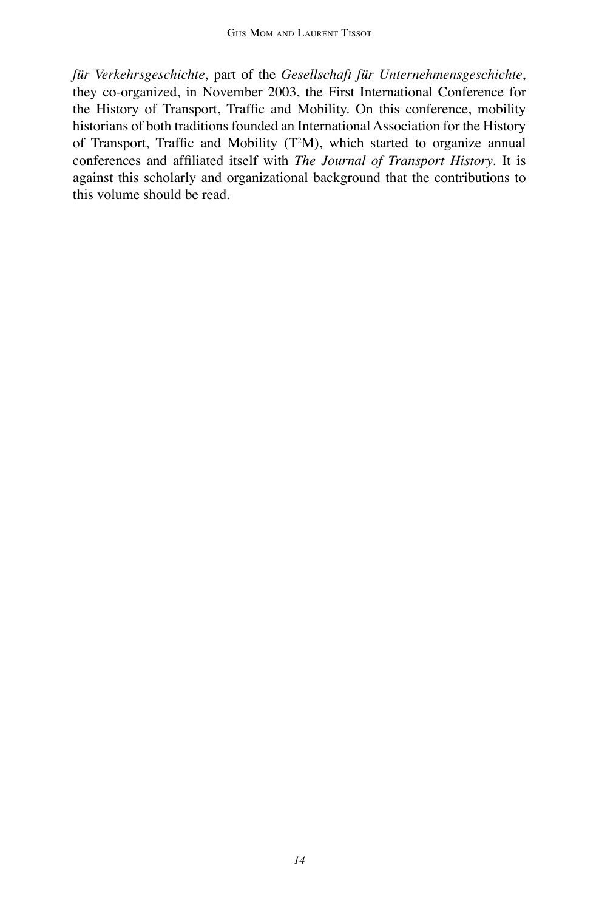*für Verkehrsgeschichte*, part of the *Gesellschaft für Unternehmensgeschichte*, they co-organized, in November 2003, the First International Conference for the History of Transport, Traffic and Mobility. On this conference, mobility historians of both traditions founded an International Association for the History of Transport, Traffic and Mobility (T<sup>2</sup>M), which started to organize annual conferences and affiliated itself with *The Journal of Transport History*. It is against this scholarly and organizational background that the contributions to this volume should be read.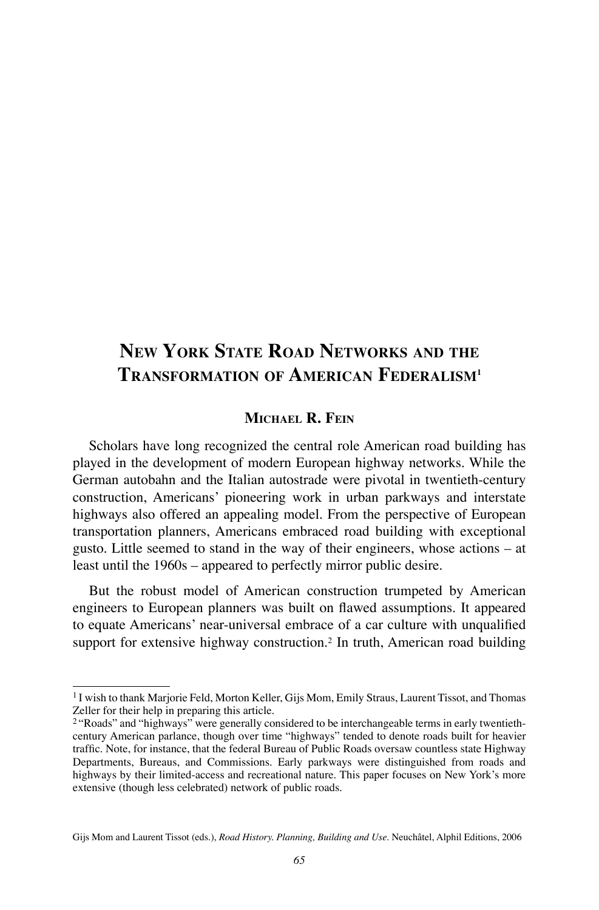# **NEW YORK STATE ROAD NETWORKS AND THE TRANSFORMATION OF AMERICAN FEDERALISM1**

### **MICHAEL R. FEIN**

Scholars have long recognized the central role American road building has played in the development of modern European highway networks. While the German autobahn and the Italian autostrade were pivotal in twentieth-century construction, Americans' pioneering work in urban parkways and interstate highways also offered an appealing model. From the perspective of European transportation planners, Americans embraced road building with exceptional gusto. Little seemed to stand in the way of their engineers, whose actions – at least until the 1960s – appeared to perfectly mirror public desire.

But the robust model of American construction trumpeted by American engineers to European planners was built on flawed assumptions. It appeared to equate Americans' near-universal embrace of a car culture with unqualified support for extensive highway construction.2 In truth, American road building

<sup>1</sup> I wish to thank Marjorie Feld, Morton Keller, Gijs Mom, Emily Straus, Laurent Tissot, and Thomas Zeller for their help in preparing this article.

<sup>2</sup> "Roads" and "highways" were generally considered to be interchangeable terms in early twentiethcentury American parlance, though over time "highways" tended to denote roads built for heavier traffic. Note, for instance, that the federal Bureau of Public Roads oversaw countless state Highway Departments, Bureaus, and Commissions. Early parkways were distinguished from roads and highways by their limited-access and recreational nature. This paper focuses on New York's more extensive (though less celebrated) network of public roads.

Gijs Mom and Laurent Tissot (eds.), *Road History. Planning, Building and Use*. Neuchâtel, Alphil Editions, 2006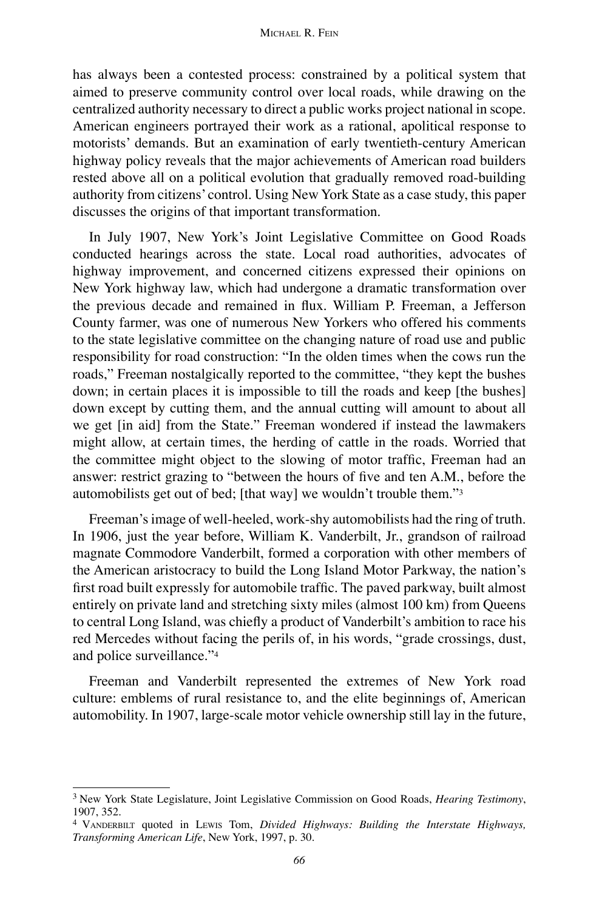has always been a contested process: constrained by a political system that aimed to preserve community control over local roads, while drawing on the centralized authority necessary to direct a public works project national in scope. American engineers portrayed their work as a rational, apolitical response to motorists' demands. But an examination of early twentieth-century American highway policy reveals that the major achievements of American road builders rested above all on a political evolution that gradually removed road-building authority from citizens' control. Using New York State as a case study, this paper discusses the origins of that important transformation.

In July 1907, New York's Joint Legislative Committee on Good Roads conducted hearings across the state. Local road authorities, advocates of highway improvement, and concerned citizens expressed their opinions on New York highway law, which had undergone a dramatic transformation over the previous decade and remained in flux. William P. Freeman, a Jefferson County farmer, was one of numerous New Yorkers who offered his comments to the state legislative committee on the changing nature of road use and public responsibility for road construction: "In the olden times when the cows run the roads," Freeman nostalgically reported to the committee, "they kept the bushes down; in certain places it is impossible to till the roads and keep [the bushes] down except by cutting them, and the annual cutting will amount to about all we get [in aid] from the State." Freeman wondered if instead the lawmakers might allow, at certain times, the herding of cattle in the roads. Worried that the committee might object to the slowing of motor traffic, Freeman had an answer: restrict grazing to "between the hours of five and ten A.M., before the automobilists get out of bed; [that way] we wouldn't trouble them."3

Freeman's image of well-heeled, work-shy automobilists had the ring of truth. In 1906, just the year before, William K. Vanderbilt, Jr., grandson of railroad magnate Commodore Vanderbilt, formed a corporation with other members of the American aristocracy to build the Long Island Motor Parkway, the nation's first road built expressly for automobile traffic. The paved parkway, built almost entirely on private land and stretching sixty miles (almost 100 km) from Queens to central Long Island, was chiefly a product of Vanderbilt's ambition to race his red Mercedes without facing the perils of, in his words, "grade crossings, dust, and police surveillance."4

Freeman and Vanderbilt represented the extremes of New York road culture: emblems of rural resistance to, and the elite beginnings of, American automobility. In 1907, large-scale motor vehicle ownership still lay in the future,

<sup>3</sup> New York State Legislature, Joint Legislative Commission on Good Roads, *Hearing Testimony*, 1907, 352.

<sup>4</sup> VANDERBILT quoted in LEWIS Tom, *Divided Highways: Building the Interstate Highways, Transforming American Life*, New York, 1997, p. 30.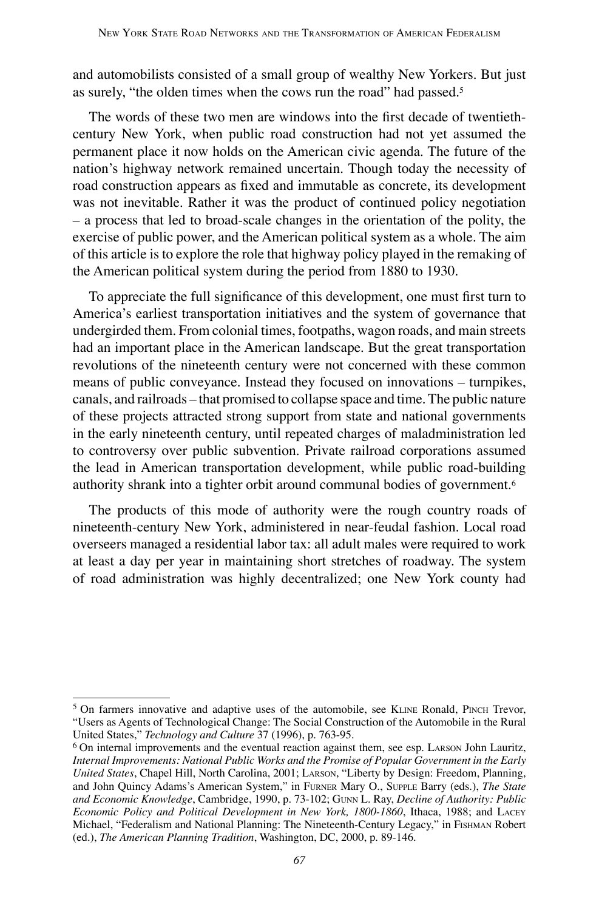and automobilists consisted of a small group of wealthy New Yorkers. But just as surely, "the olden times when the cows run the road" had passed.5

The words of these two men are windows into the first decade of twentiethcentury New York, when public road construction had not yet assumed the permanent place it now holds on the American civic agenda. The future of the nation's highway network remained uncertain. Though today the necessity of road construction appears as fixed and immutable as concrete, its development was not inevitable. Rather it was the product of continued policy negotiation – a process that led to broad-scale changes in the orientation of the polity, the exercise of public power, and the American political system as a whole. The aim of this article is to explore the role that highway policy played in the remaking of the American political system during the period from 1880 to 1930.

To appreciate the full significance of this development, one must first turn to America's earliest transportation initiatives and the system of governance that undergirded them. From colonial times, footpaths, wagon roads, and main streets had an important place in the American landscape. But the great transportation revolutions of the nineteenth century were not concerned with these common means of public conveyance. Instead they focused on innovations – turnpikes, canals, and railroads – that promised to collapse space and time. The public nature of these projects attracted strong support from state and national governments in the early nineteenth century, until repeated charges of maladministration led to controversy over public subvention. Private railroad corporations assumed the lead in American transportation development, while public road-building authority shrank into a tighter orbit around communal bodies of government.6

The products of this mode of authority were the rough country roads of nineteenth-century New York, administered in near-feudal fashion. Local road overseers managed a residential labor tax: all adult males were required to work at least a day per year in maintaining short stretches of roadway. The system of road administration was highly decentralized; one New York county had

<sup>5</sup> On farmers innovative and adaptive uses of the automobile, see KLINE Ronald, PINCH Trevor, "Users as Agents of Technological Change: The Social Construction of the Automobile in the Rural United States," *Technology and Culture* 37 (1996), p. 763-95.

<sup>&</sup>lt;sup>6</sup> On internal improvements and the eventual reaction against them, see esp. LARSON John Lauritz, *Internal Improvements: National Public Works and the Promise of Popular Government in the Early United States*, Chapel Hill, North Carolina, 2001; LARSON, "Liberty by Design: Freedom, Planning, and John Quincy Adams's American System," in FURNER Mary O., SUPPLE Barry (eds.), *The State and Economic Knowledge*, Cambridge, 1990, p. 73-102; GUNN L. Ray, *Decline of Authority: Public Economic Policy and Political Development in New York, 1800-1860*, Ithaca, 1988; and LACEY Michael, "Federalism and National Planning: The Nineteenth-Century Legacy," in FISHMAN Robert (ed.), *The American Planning Tradition*, Washington, DC, 2000, p. 89-146.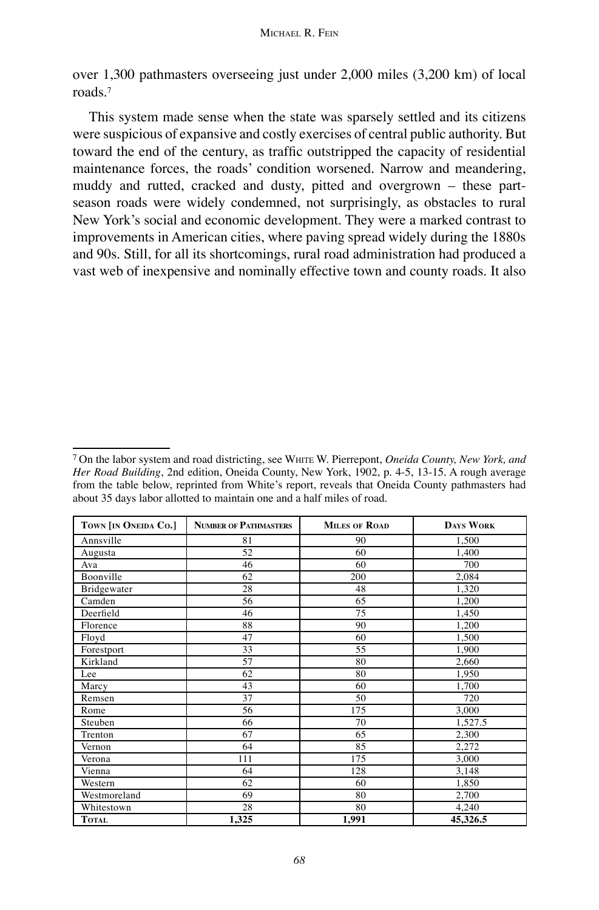over 1,300 pathmasters overseeing just under 2,000 miles (3,200 km) of local roads.7

This system made sense when the state was sparsely settled and its citizens were suspicious of expansive and costly exercises of central public authority. But toward the end of the century, as traffic outstripped the capacity of residential maintenance forces, the roads' condition worsened. Narrow and meandering, muddy and rutted, cracked and dusty, pitted and overgrown – these partseason roads were widely condemned, not surprisingly, as obstacles to rural New York's social and economic development. They were a marked contrast to improvements in American cities, where paving spread widely during the 1880s and 90s. Still, for all its shortcomings, rural road administration had produced a vast web of inexpensive and nominally effective town and county roads. It also

<sup>7</sup> On the labor system and road districting, see WHITE W. Pierrepont, *Oneida County, New York, and Her Road Building*, 2nd edition, Oneida County, New York, 1902, p. 4-5, 13-15. A rough average from the table below, reprinted from White's report, reveals that Oneida County pathmasters had about 35 days labor allotted to maintain one and a half miles of road.

| TOWN [IN ONEIDA CO.] | <b>NUMBER OF PATHMASTERS</b> | <b>MILES OF ROAD</b> | <b>DAYS WORK</b> |  |
|----------------------|------------------------------|----------------------|------------------|--|
| Annsville            | 81                           | 90                   | 1,500            |  |
| Augusta              | 52                           | 60                   | 1,400            |  |
| Ava                  | 46                           | 60                   | 700              |  |
| Boonville            | 62                           | 200                  | 2,084            |  |
| Bridgewater          | 28                           | 48                   | 1,320            |  |
| Camden               | 56                           | 65                   | 1,200            |  |
| Deerfield            | 46                           | 75                   | 1,450            |  |
| Florence             | 88                           | 90                   | 1.200            |  |
| Floyd                | 47                           | 60                   | 1,500            |  |
| Forestport           | 33                           | 55                   | 1,900            |  |
| Kirkland             | 57                           | 80                   | 2,660            |  |
| Lee                  | 62                           | 80                   | 1,950            |  |
| Marcy                | 43                           | 60                   | 1,700            |  |
| Remsen               | 37                           | 50                   | 720              |  |
| Rome                 | 56                           | 175                  | 3,000            |  |
| Steuben              | 66                           | 70                   | 1,527.5          |  |
| Trenton              | 67                           | 65                   | 2,300            |  |
| Vernon               | 64                           | 85                   | 2.272            |  |
| Verona               | 111                          | 175                  | 3,000            |  |
| Vienna               | 64                           | 128                  | 3,148            |  |
| Western              | 62                           | 60                   | 1.850            |  |
| Westmoreland         | 69                           | 80                   | 2,700            |  |
| Whitestown           | 28                           | 80                   | 4,240            |  |
| <b>TOTAL</b>         | 1,325                        | 1,991                | 45,326.5         |  |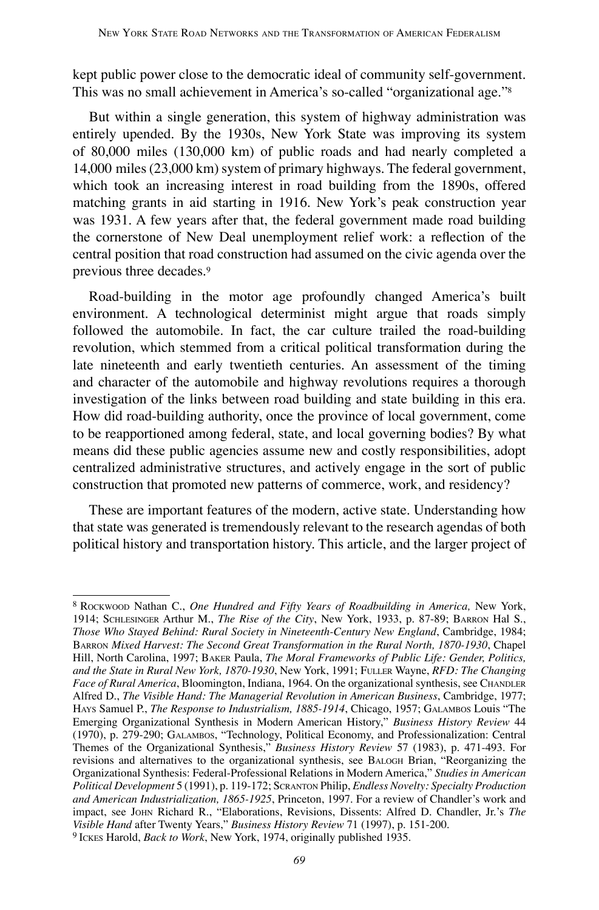kept public power close to the democratic ideal of community self-government. This was no small achievement in America's so-called "organizational age."8

But within a single generation, this system of highway administration was entirely upended. By the 1930s, New York State was improving its system of 80,000 miles (130,000 km) of public roads and had nearly completed a 14,000 miles (23,000 km) system of primary highways. The federal government, which took an increasing interest in road building from the 1890s, offered matching grants in aid starting in 1916. New York's peak construction year was 1931. A few years after that, the federal government made road building the cornerstone of New Deal unemployment relief work: a reflection of the central position that road construction had assumed on the civic agenda over the previous three decades.9

Road-building in the motor age profoundly changed America's built environment. A technological determinist might argue that roads simply followed the automobile. In fact, the car culture trailed the road-building revolution, which stemmed from a critical political transformation during the late nineteenth and early twentieth centuries. An assessment of the timing and character of the automobile and highway revolutions requires a thorough investigation of the links between road building and state building in this era. How did road-building authority, once the province of local government, come to be reapportioned among federal, state, and local governing bodies? By what means did these public agencies assume new and costly responsibilities, adopt centralized administrative structures, and actively engage in the sort of public construction that promoted new patterns of commerce, work, and residency?

These are important features of the modern, active state. Understanding how that state was generated is tremendously relevant to the research agendas of both political history and transportation history. This article, and the larger project of

<sup>8</sup> ROCKWOOD Nathan C., *One Hundred and Fifty Years of Roadbuilding in America,* New York, 1914; SCHLESINGER Arthur M., *The Rise of the City*, New York, 1933, p. 87-89; BARRON Hal S., *Those Who Stayed Behind: Rural Society in Nineteenth-Century New England*, Cambridge, 1984; BARRON *Mixed Harvest: The Second Great Transformation in the Rural North, 1870-1930*, Chapel Hill, North Carolina, 1997; BAKER Paula, *The Moral Frameworks of Public Life: Gender, Politics, and the State in Rural New York, 1870-1930*, New York, 1991; FULLER Wayne, *RFD: The Changing Face of Rural America*, Bloomington, Indiana, 1964. On the organizational synthesis, see CHANDLER Alfred D., *The Visible Hand: The Managerial Revolution in American Business*, Cambridge, 1977; HAYS Samuel P., *The Response to Industrialism, 1885-1914*, Chicago, 1957; GALAMBOS Louis "The Emerging Organizational Synthesis in Modern American History," *Business History Review* 44 (1970), p. 279-290; GALAMBOS, "Technology, Political Economy, and Professionalization: Central Themes of the Organizational Synthesis," *Business History Review* 57 (1983), p. 471-493. For revisions and alternatives to the organizational synthesis, see BALOGH Brian, "Reorganizing the Organizational Synthesis: Federal-Professional Relations in Modern America," *Studies in American Political Development* 5 (1991), p. 119-172; SCRANTON Philip, *Endless Novelty: Specialty Production and American Industrialization, 1865-1925*, Princeton, 1997. For a review of Chandler's work and impact, see JOHN Richard R., "Elaborations, Revisions, Dissents: Alfred D. Chandler, Jr.'s *The Visible Hand* after Twenty Years," *Business History Review* 71 (1997), p. 151-200. <sup>9</sup> ICKES Harold, *Back to Work*, New York, 1974, originally published 1935.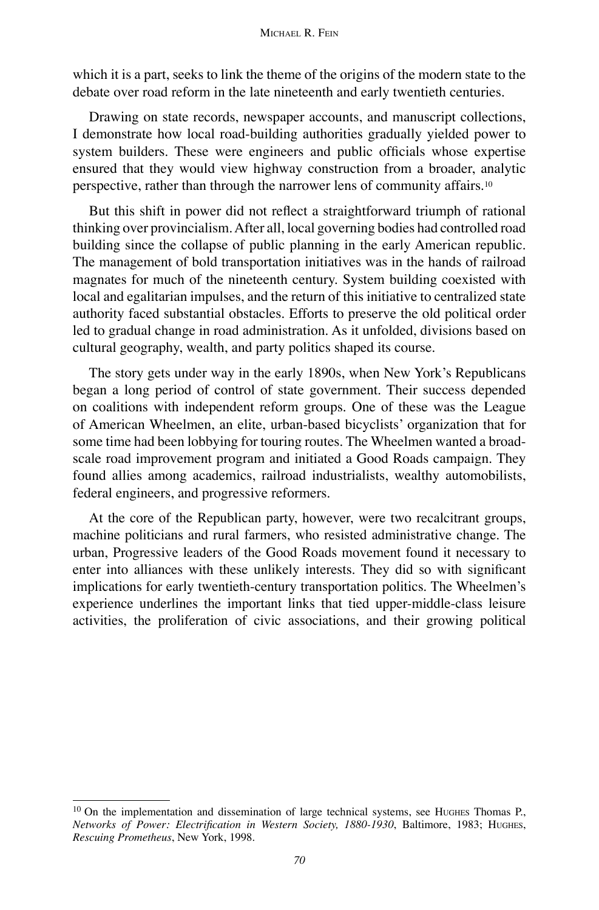which it is a part, seeks to link the theme of the origins of the modern state to the debate over road reform in the late nineteenth and early twentieth centuries.

Drawing on state records, newspaper accounts, and manuscript collections, I demonstrate how local road-building authorities gradually yielded power to system builders. These were engineers and public officials whose expertise ensured that they would view highway construction from a broader, analytic perspective, rather than through the narrower lens of community affairs.10

But this shift in power did not reflect a straightforward triumph of rational thinking over provincialism. After all, local governing bodies had controlled road building since the collapse of public planning in the early American republic. The management of bold transportation initiatives was in the hands of railroad magnates for much of the nineteenth century. System building coexisted with local and egalitarian impulses, and the return of this initiative to centralized state authority faced substantial obstacles. Efforts to preserve the old political order led to gradual change in road administration. As it unfolded, divisions based on cultural geography, wealth, and party politics shaped its course.

The story gets under way in the early 1890s, when New York's Republicans began a long period of control of state government. Their success depended on coalitions with independent reform groups. One of these was the League of American Wheelmen, an elite, urban-based bicyclists' organization that for some time had been lobbying for touring routes. The Wheelmen wanted a broadscale road improvement program and initiated a Good Roads campaign. They found allies among academics, railroad industrialists, wealthy automobilists, federal engineers, and progressive reformers.

At the core of the Republican party, however, were two recalcitrant groups, machine politicians and rural farmers, who resisted administrative change. The urban, Progressive leaders of the Good Roads movement found it necessary to enter into alliances with these unlikely interests. They did so with significant implications for early twentieth-century transportation politics. The Wheelmen's experience underlines the important links that tied upper-middle-class leisure activities, the proliferation of civic associations, and their growing political

<sup>&</sup>lt;sup>10</sup> On the implementation and dissemination of large technical systems, see HuGHES Thomas P., *Networks of Power: Electrification in Western Society, 1880-1930*, Baltimore, 1983; HUGHES, *Rescuing Prometheus*, New York, 1998.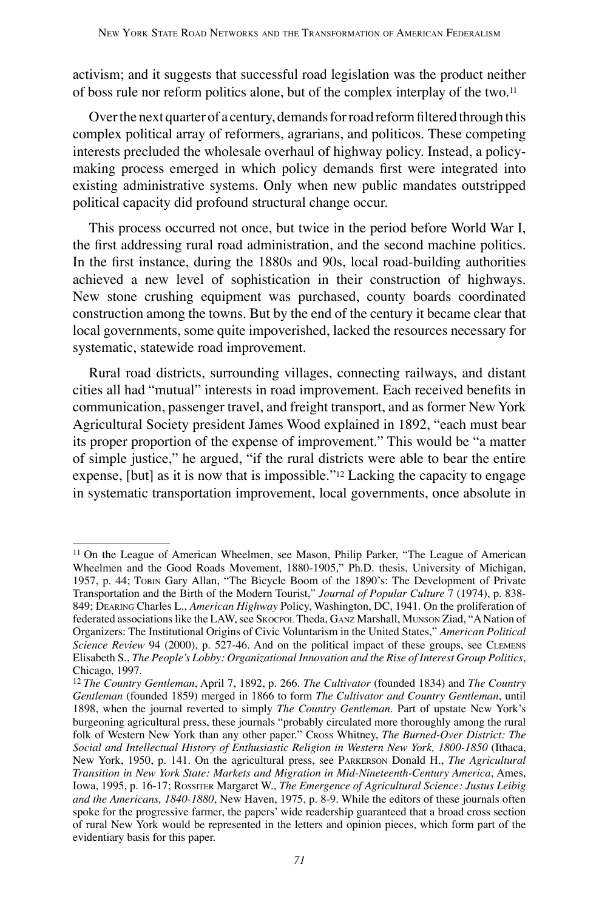activism; and it suggests that successful road legislation was the product neither of boss rule nor reform politics alone, but of the complex interplay of the two.11

Over the next quarter of a century, demands for road reform filtered through this complex political array of reformers, agrarians, and politicos. These competing interests precluded the wholesale overhaul of highway policy. Instead, a policymaking process emerged in which policy demands first were integrated into existing administrative systems. Only when new public mandates outstripped political capacity did profound structural change occur.

This process occurred not once, but twice in the period before World War I, the first addressing rural road administration, and the second machine politics. In the first instance, during the 1880s and 90s, local road-building authorities achieved a new level of sophistication in their construction of highways. New stone crushing equipment was purchased, county boards coordinated construction among the towns. But by the end of the century it became clear that local governments, some quite impoverished, lacked the resources necessary for systematic, statewide road improvement.

Rural road districts, surrounding villages, connecting railways, and distant cities all had "mutual" interests in road improvement. Each received benefits in communication, passenger travel, and freight transport, and as former New York Agricultural Society president James Wood explained in 1892, "each must bear its proper proportion of the expense of improvement." This would be "a matter of simple justice," he argued, "if the rural districts were able to bear the entire expense, [but] as it is now that is impossible."12 Lacking the capacity to engage in systematic transportation improvement, local governments, once absolute in

<sup>&</sup>lt;sup>11</sup> On the League of American Wheelmen, see Mason, Philip Parker, "The League of American Wheelmen and the Good Roads Movement, 1880-1905," Ph.D. thesis, University of Michigan, 1957, p. 44; TOBIN Gary Allan, "The Bicycle Boom of the 1890's: The Development of Private Transportation and the Birth of the Modern Tourist," *Journal of Popular Culture* 7 (1974), p. 838- 849; DEARING Charles L., *American Highway* Policy, Washington, DC, 1941. On the proliferation of federated associations like the LAW, see SKOCPOL Theda, GANZ Marshall, MUNSON Ziad, "A Nation of Organizers: The Institutional Origins of Civic Voluntarism in the United States," *American Political Science Review* 94 (2000), p. 527-46. And on the political impact of these groups, see CLEMENS Elisabeth S., *The People's Lobby: Organizational Innovation and the Rise of Interest Group Politics*, Chicago, 1997.

<sup>12</sup>*The Country Gentleman*, April 7, 1892, p. 266. *The Cultivator* (founded 1834) and *The Country Gentleman* (founded 1859) merged in 1866 to form *The Cultivator and Country Gentleman*, until 1898, when the journal reverted to simply *The Country Gentleman*. Part of upstate New York's burgeoning agricultural press, these journals "probably circulated more thoroughly among the rural folk of Western New York than any other paper." CROSS Whitney, *The Burned-Over District: The Social and Intellectual History of Enthusiastic Religion in Western New York, 1800-1850* (Ithaca, New York, 1950, p. 141. On the agricultural press, see PARKERSON Donald H., *The Agricultural Transition in New York State: Markets and Migration in Mid-Nineteenth-Century America*, Ames, Iowa, 1995, p. 16-17; ROSSITER Margaret W., *The Emergence of Agricultural Science: Justus Leibig and the Americans, 1840-1880*, New Haven, 1975, p. 8-9. While the editors of these journals often spoke for the progressive farmer, the papers' wide readership guaranteed that a broad cross section of rural New York would be represented in the letters and opinion pieces, which form part of the evidentiary basis for this paper.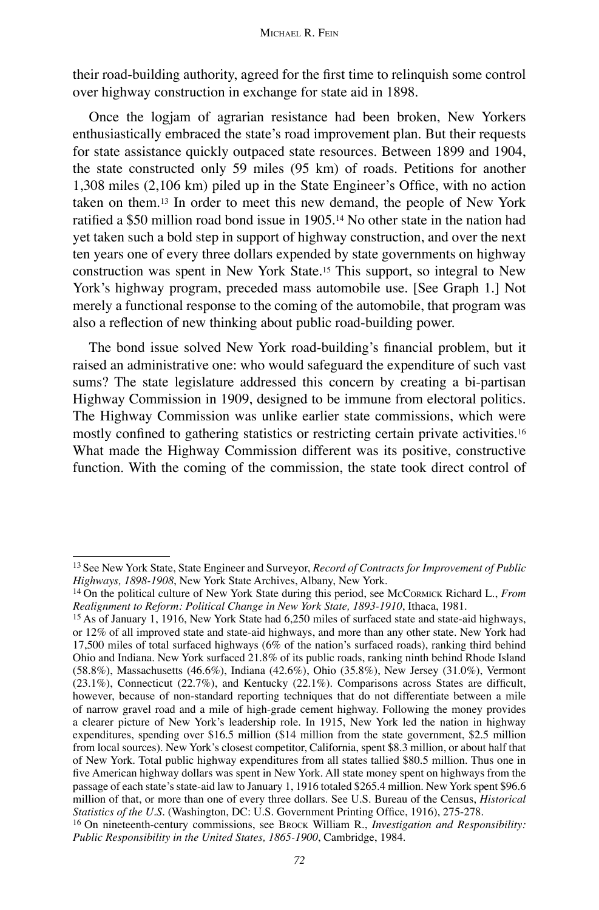their road-building authority, agreed for the first time to relinquish some control over highway construction in exchange for state aid in 1898.

Once the logjam of agrarian resistance had been broken, New Yorkers enthusiastically embraced the state's road improvement plan. But their requests for state assistance quickly outpaced state resources. Between 1899 and 1904, the state constructed only 59 miles (95 km) of roads. Petitions for another 1,308 miles (2,106 km) piled up in the State Engineer's Office, with no action taken on them.13 In order to meet this new demand, the people of New York ratified a \$50 million road bond issue in 1905.14 No other state in the nation had yet taken such a bold step in support of highway construction, and over the next ten years one of every three dollars expended by state governments on highway construction was spent in New York State.15 This support, so integral to New York's highway program, preceded mass automobile use. [See Graph 1.] Not merely a functional response to the coming of the automobile, that program was also a reflection of new thinking about public road-building power.

The bond issue solved New York road-building's financial problem, but it raised an administrative one: who would safeguard the expenditure of such vast sums? The state legislature addressed this concern by creating a bi-partisan Highway Commission in 1909, designed to be immune from electoral politics. The Highway Commission was unlike earlier state commissions, which were mostly confined to gathering statistics or restricting certain private activities.16 What made the Highway Commission different was its positive, constructive function. With the coming of the commission, the state took direct control of

<sup>13</sup> See New York State, State Engineer and Surveyor, *Record of Contracts for Improvement of Public Highways, 1898-1908*, New York State Archives, Albany, New York.

<sup>14</sup> On the political culture of New York State during this period, see MCCORMICK Richard L., *From Realignment to Reform: Political Change in New York State, 1893-1910*, Ithaca, 1981.

<sup>15</sup> As of January 1, 1916, New York State had 6,250 miles of surfaced state and state-aid highways, or 12% of all improved state and state-aid highways, and more than any other state. New York had 17,500 miles of total surfaced highways (6% of the nation's surfaced roads), ranking third behind Ohio and Indiana. New York surfaced 21.8% of its public roads, ranking ninth behind Rhode Island (58.8%), Massachusetts (46.6%), Indiana (42.6%), Ohio (35.8%), New Jersey (31.0%), Vermont (23.1%), Connecticut (22.7%), and Kentucky (22.1%). Comparisons across States are difficult, however, because of non-standard reporting techniques that do not differentiate between a mile of narrow gravel road and a mile of high-grade cement highway. Following the money provides a clearer picture of New York's leadership role. In 1915, New York led the nation in highway expenditures, spending over \$16.5 million (\$14 million from the state government, \$2.5 million from local sources). New York's closest competitor, California, spent \$8.3 million, or about half that of New York. Total public highway expenditures from all states tallied \$80.5 million. Thus one in five American highway dollars was spent in New York. All state money spent on highways from the passage of each state's state-aid law to January 1, 1916 totaled \$265.4 million. New York spent \$96.6 million of that, or more than one of every three dollars. See U.S. Bureau of the Census, *Historical Statistics of the U.S.* (Washington, DC: U.S. Government Printing Office, 1916), 275-278.

<sup>16</sup> On nineteenth-century commissions, see BROCK William R., *Investigation and Responsibility: Public Responsibility in the United States, 1865-1900*, Cambridge, 1984.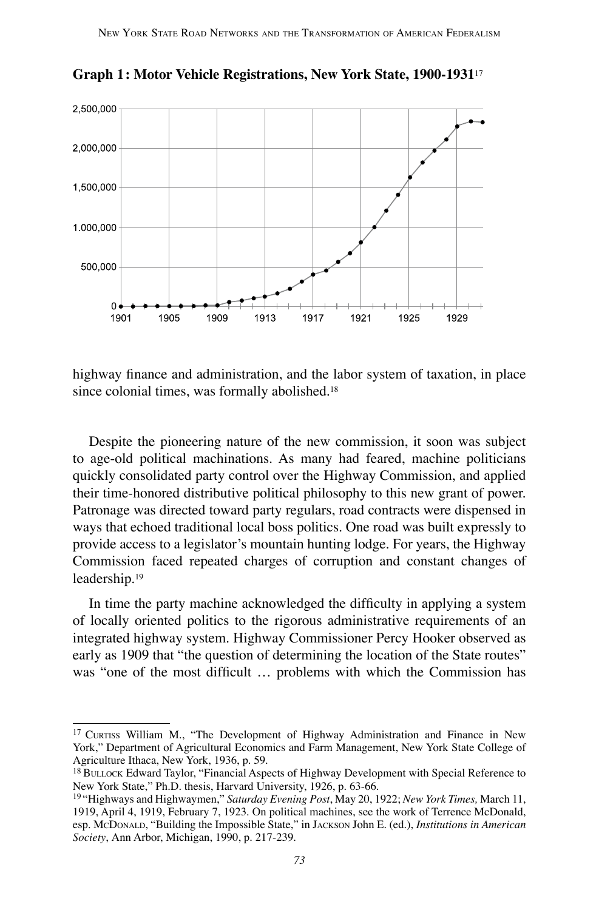

**Graph 1: Motor Vehicle Registrations, New York State, 1900-1931**<sup>17</sup>

highway finance and administration, and the labor system of taxation, in place since colonial times, was formally abolished.18

Despite the pioneering nature of the new commission, it soon was subject to age-old political machinations. As many had feared, machine politicians quickly consolidated party control over the Highway Commission, and applied their time-honored distributive political philosophy to this new grant of power. Patronage was directed toward party regulars, road contracts were dispensed in ways that echoed traditional local boss politics. One road was built expressly to provide access to a legislator's mountain hunting lodge. For years, the Highway Commission faced repeated charges of corruption and constant changes of leadership.19

In time the party machine acknowledged the difficulty in applying a system of locally oriented politics to the rigorous administrative requirements of an integrated highway system. Highway Commissioner Percy Hooker observed as early as 1909 that "the question of determining the location of the State routes" was "one of the most difficult … problems with which the Commission has

<sup>17</sup> CURTISS William M., "The Development of Highway Administration and Finance in New York," Department of Agricultural Economics and Farm Management, New York State College of Agriculture Ithaca, New York, 1936, p. 59.

<sup>&</sup>lt;sup>18</sup> BULLOCK Edward Taylor, "Financial Aspects of Highway Development with Special Reference to New York State," Ph.D. thesis, Harvard University, 1926, p. 63-66.

<sup>19 &</sup>quot;Highways and Highwaymen," *Saturday Evening Post*, May 20, 1922; *New York Times,* March 11, 1919, April 4, 1919, February 7, 1923. On political machines, see the work of Terrence McDonald, esp. MCDONALD, "Building the Impossible State," in JACKSON John E. (ed.), *Institutions in American Society*, Ann Arbor, Michigan, 1990, p. 217-239.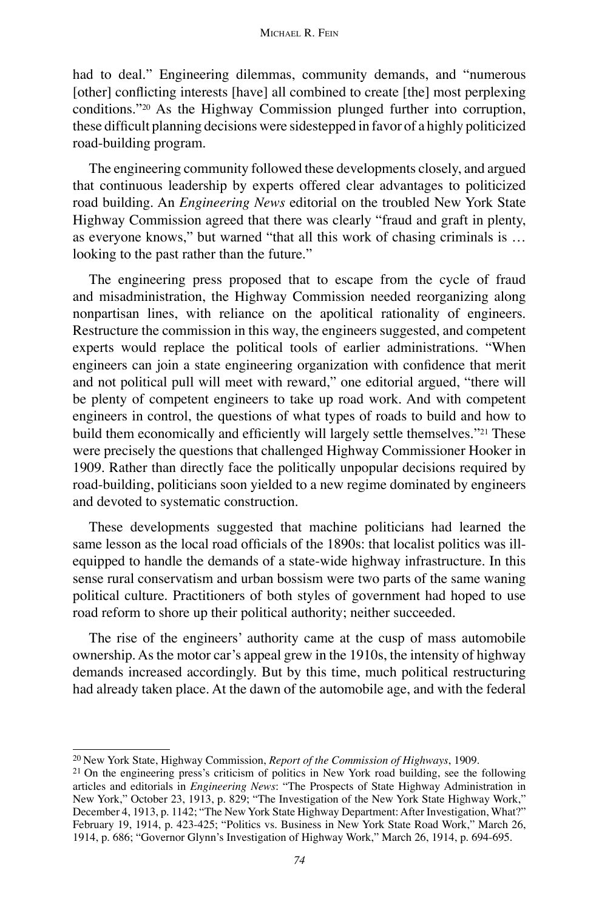#### MICHAEL R. FEIN

had to deal." Engineering dilemmas, community demands, and "numerous [other] conflicting interests [have] all combined to create [the] most perplexing conditions."20 As the Highway Commission plunged further into corruption, these difficult planning decisions were sidestepped in favor of a highly politicized road-building program.

The engineering community followed these developments closely, and argued that continuous leadership by experts offered clear advantages to politicized road building. An *Engineering News* editorial on the troubled New York State Highway Commission agreed that there was clearly "fraud and graft in plenty, as everyone knows," but warned "that all this work of chasing criminals is … looking to the past rather than the future."

The engineering press proposed that to escape from the cycle of fraud and misadministration, the Highway Commission needed reorganizing along nonpartisan lines, with reliance on the apolitical rationality of engineers. Restructure the commission in this way, the engineers suggested, and competent experts would replace the political tools of earlier administrations. "When engineers can join a state engineering organization with confidence that merit and not political pull will meet with reward," one editorial argued, "there will be plenty of competent engineers to take up road work. And with competent engineers in control, the questions of what types of roads to build and how to build them economically and efficiently will largely settle themselves."<sup>21</sup> These were precisely the questions that challenged Highway Commissioner Hooker in 1909. Rather than directly face the politically unpopular decisions required by road-building, politicians soon yielded to a new regime dominated by engineers and devoted to systematic construction.

These developments suggested that machine politicians had learned the same lesson as the local road officials of the 1890s: that localist politics was illequipped to handle the demands of a state-wide highway infrastructure. In this sense rural conservatism and urban bossism were two parts of the same waning political culture. Practitioners of both styles of government had hoped to use road reform to shore up their political authority; neither succeeded.

The rise of the engineers' authority came at the cusp of mass automobile ownership. As the motor car's appeal grew in the 1910s, the intensity of highway demands increased accordingly. But by this time, much political restructuring had already taken place. At the dawn of the automobile age, and with the federal

<sup>20</sup> New York State, Highway Commission, *Report of the Commission of Highways*, 1909.

<sup>&</sup>lt;sup>21</sup> On the engineering press's criticism of politics in New York road building, see the following articles and editorials in *Engineering News*: "The Prospects of State Highway Administration in New York," October 23, 1913, p. 829; "The Investigation of the New York State Highway Work," December 4, 1913, p. 1142; "The New York State Highway Department: After Investigation, What?" February 19, 1914, p. 423-425; "Politics vs. Business in New York State Road Work," March 26, 1914, p. 686; "Governor Glynn's Investigation of Highway Work," March 26, 1914, p. 694-695.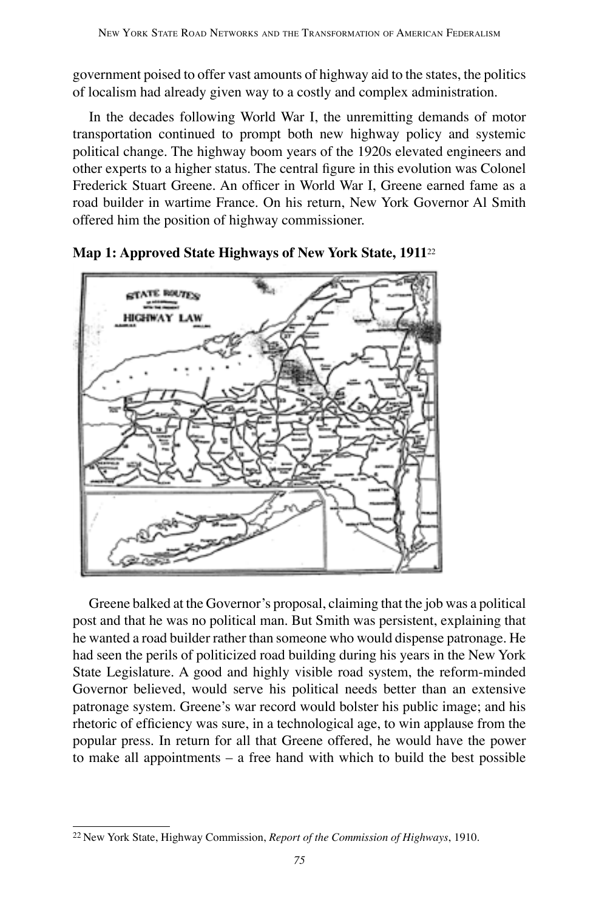government poised to offer vast amounts of highway aid to the states, the politics of localism had already given way to a costly and complex administration.

In the decades following World War I, the unremitting demands of motor transportation continued to prompt both new highway policy and systemic political change. The highway boom years of the 1920s elevated engineers and other experts to a higher status. The central figure in this evolution was Colonel Frederick Stuart Greene. An officer in World War I, Greene earned fame as a road builder in wartime France. On his return, New York Governor Al Smith offered him the position of highway commissioner.



**Map 1: Approved State Highways of New York State, 1911**<sup>22</sup>

Greene balked at the Governor's proposal, claiming that the job was a political post and that he was no political man. But Smith was persistent, explaining that he wanted a road builder rather than someone who would dispense patronage. He had seen the perils of politicized road building during his years in the New York State Legislature. A good and highly visible road system, the reform-minded Governor believed, would serve his political needs better than an extensive patronage system. Greene's war record would bolster his public image; and his rhetoric of efficiency was sure, in a technological age, to win applause from the popular press. In return for all that Greene offered, he would have the power to make all appointments – a free hand with which to build the best possible

<sup>22</sup> New York State, Highway Commission, *Report of the Commission of Highways*, 1910*.*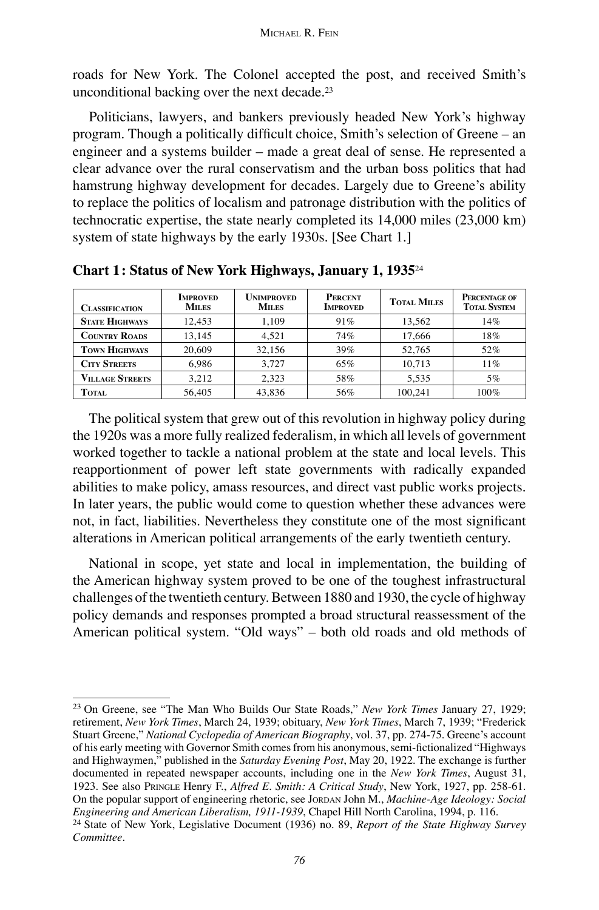roads for New York. The Colonel accepted the post, and received Smith's unconditional backing over the next decade.23

Politicians, lawyers, and bankers previously headed New York's highway program. Though a politically difficult choice, Smith's selection of Greene – an engineer and a systems builder – made a great deal of sense. He represented a clear advance over the rural conservatism and the urban boss politics that had hamstrung highway development for decades. Largely due to Greene's ability to replace the politics of localism and patronage distribution with the politics of technocratic expertise, the state nearly completed its 14,000 miles (23,000 km) system of state highways by the early 1930s. [See Chart 1.]

| CLASSIFICATION         | <b>IMPROVED</b><br><b>MILES</b> | <b>Unimproved</b><br><b>MILES</b> | <b>PERCENT</b><br><b>IMPROVED</b> | <b>TOTAL MILES</b> | PERCENTAGE OF<br><b>TOTAL SYSTEM</b> |
|------------------------|---------------------------------|-----------------------------------|-----------------------------------|--------------------|--------------------------------------|
| <b>STATE HIGHWAYS</b>  | 12.453                          | 1.109                             | 91%                               | 13.562             | 14%                                  |
| <b>COUNTRY ROADS</b>   | 13.145                          | 4.521                             | 74%                               | 17.666             | 18%                                  |
| <b>TOWN HIGHWAYS</b>   | 20,609                          | 32.156                            | 39%                               | 52.765             | 52%                                  |
| <b>CITY STREETS</b>    | 6.986                           | 3.727                             | 65%                               | 10.713             | 11%                                  |
| <b>VILLAGE STREETS</b> | 3.212                           | 2.323                             | 58%                               | 5.535              | 5%                                   |
| TOTAL                  | 56,405                          | 43,836                            | 56%                               | 100.241            | 100%                                 |

**Chart 1: Status of New York Highways, January 1, 1935**<sup>24</sup>

The political system that grew out of this revolution in highway policy during the 1920s was a more fully realized federalism, in which all levels of government worked together to tackle a national problem at the state and local levels. This reapportionment of power left state governments with radically expanded abilities to make policy, amass resources, and direct vast public works projects. In later years, the public would come to question whether these advances were not, in fact, liabilities. Nevertheless they constitute one of the most significant alterations in American political arrangements of the early twentieth century.

National in scope, yet state and local in implementation, the building of the American highway system proved to be one of the toughest infrastructural challenges of the twentieth century. Between 1880 and 1930, the cycle of highway policy demands and responses prompted a broad structural reassessment of the American political system. "Old ways" – both old roads and old methods of

<sup>23</sup> On Greene, see "The Man Who Builds Our State Roads," *New York Times* January 27, 1929; retirement, *New York Times*, March 24, 1939; obituary, *New York Times*, March 7, 1939; "Frederick Stuart Greene," *National Cyclopedia of American Biography*, vol. 37, pp. 274-75. Greene's account of his early meeting with Governor Smith comes from his anonymous, semi-fictionalized "Highways and Highwaymen," published in the *Saturday Evening Post*, May 20, 1922. The exchange is further documented in repeated newspaper accounts, including one in the *New York Times*, August 31, 1923. See also PRINGLE Henry F., *Alfred E. Smith: A Critical Study*, New York, 1927, pp. 258-61. On the popular support of engineering rhetoric, see JORDAN John M., *Machine-Age Ideology: Social Engineering and American Liberalism, 1911-1939*, Chapel Hill North Carolina, 1994, p. 116.

<sup>24</sup> State of New York, Legislative Document (1936) no. 89, *Report of the State Highway Survey Committee*.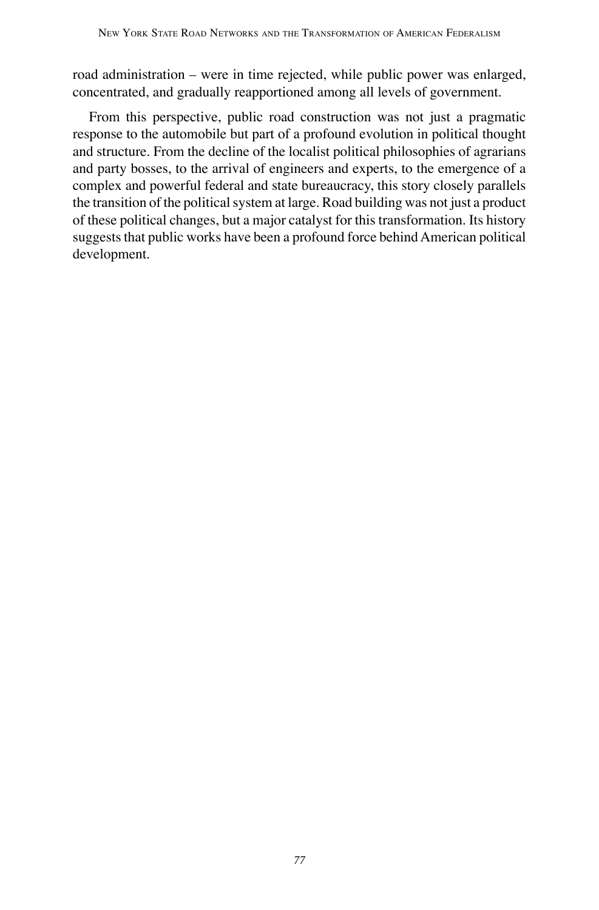road administration – were in time rejected, while public power was enlarged, concentrated, and gradually reapportioned among all levels of government.

From this perspective, public road construction was not just a pragmatic response to the automobile but part of a profound evolution in political thought and structure. From the decline of the localist political philosophies of agrarians and party bosses, to the arrival of engineers and experts, to the emergence of a complex and powerful federal and state bureaucracy, this story closely parallels the transition of the political system at large. Road building was not just a product of these political changes, but a major catalyst for this transformation. Its history suggests that public works have been a profound force behind American political development.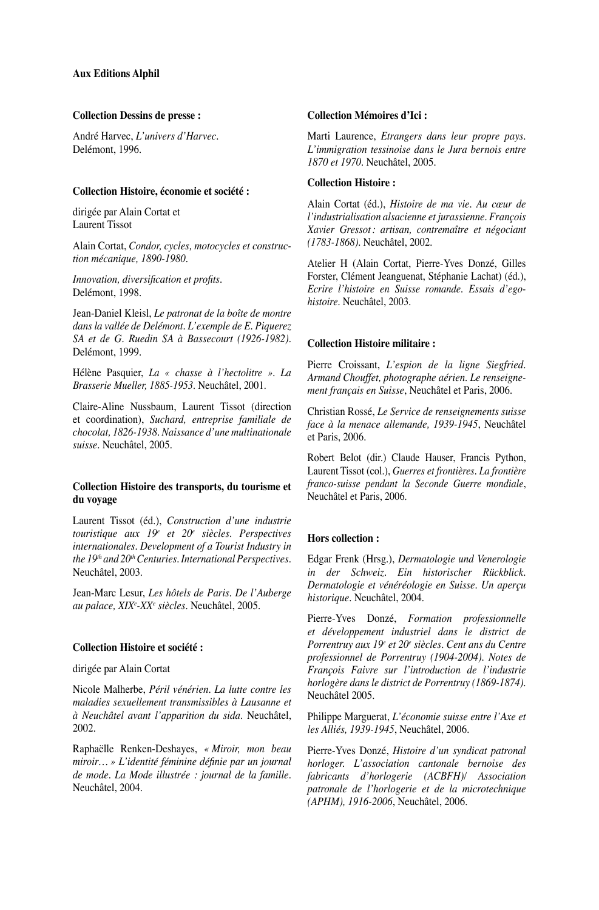#### **Collection Dessins de presse :**

André Harvec, *L'univers d'Harvec*. Delémont, 1996.

#### **Collection Histoire, économie et société :**

dirigée par Alain Cortat et Laurent Tissot

Alain Cortat, *Condor, cycles, motocycles et construction mécanique, 1890-1980.*

*Innovation, diversification et profits*. Delémont, 1998.

Jean-Daniel Kleisl, *Le patronat de la boîte de montre dans la vallée de Delémont. L'exemple de E. Piquerez SA et de G. Ruedin SA à Bassecourt (1926-1982)*. Delémont, 1999.

Hélène Pasquier, *La « chasse à l'hectolitre ». La Brasserie Mueller, 1885-1953*. Neuchâtel, 2001.

Claire-Aline Nussbaum, Laurent Tissot (direction et coordination), *Suchard, entreprise familiale de chocolat, 1826-1938. Naissance d'une multinationale suisse*. Neuchâtel, 2005.

#### **Collection Histoire des transports, du tourisme et du voyage**

Laurent Tissot (éd.), *Construction d'une industrie touristique aux 19e et 20e siècles. Perspectives internationales. Development of a Tourist Industry in the 19th and 20thCenturies. International Perspectives*. Neuchâtel, 2003.

Jean-Marc Lesur, *Les hôtels de Paris. De l'Auberge au palace, XIXe -XXe siècles*. Neuchâtel, 2005.

#### **Collection Histoire et société :**

dirigée par Alain Cortat

Nicole Malherbe, *Péril vénérien. La lutte contre les maladies sexuellement transmissibles à Lausanne et à Neuchâtel avant l'apparition du sida*. Neuchâtel, 2002.

Raphaëlle Renken-Deshayes, *« Miroir, mon beau miroir… » L'identité féminine définie par un journal de mode. La Mode illustrée : journal de la famille*. Neuchâtel, 2004.

#### **Collection Mémoires d'Ici :**

Marti Laurence, *Etrangers dans leur propre pays. L'immigration tessinoise dans le Jura bernois entre 1870 et 1970*. Neuchâtel, 2005.

#### **Collection Histoire :**

Alain Cortat (éd.), *Histoire de ma vie. Au cœur de l'industrialisation alsacienne et jurassienne. François Xavier Gressot: artisan, contremaître et négociant (1783-1868)*. Neuchâtel, 2002.

Atelier H (Alain Cortat, Pierre-Yves Donzé, Gilles Forster, Clément Jeanguenat, Stéphanie Lachat) (éd.), *Ecrire l'histoire en Suisse romande. Essais d'egohistoire*. Neuchâtel, 2003.

#### **Collection Histoire militaire :**

Pierre Croissant, *L'espion de la ligne Siegfried. Armand Chouffet, photographe aérien. Le renseignement français en Suisse*, Neuchâtel et Paris, 2006.

Christian Rossé, *Le Service de renseignements suisse face à la menace allemande, 1939-1945*, Neuchâtel et Paris, 2006.

Robert Belot (dir.) Claude Hauser, Francis Python, Laurent Tissot (col.), *Guerres et frontières. La frontière franco-suisse pendant la Seconde Guerre mondiale*, Neuchâtel et Paris, 2006.

#### **Hors collection :**

Edgar Frenk (Hrsg.), *Dermatologie und Venerologie in der Schweiz. Ein historischer Rückblick. Dermatologie et vénéréologie en Suisse. Un aperçu historique*. Neuchâtel, 2004.

Pierre-Yves Donzé, *Formation professionnelle et développement industriel dans le district de Porrentruy aux 19e et 20e siècles. Cent ans du Centre professionnel de Porrentruy (1904-2004). Notes de François Faivre sur l'introduction de l'industrie horlogère dans le district de Porrentruy (1869-1874).* Neuchâtel 2005.

Philippe Marguerat, *L'économie suisse entre l'Axe et les Alliés, 1939-1945*, Neuchâtel, 2006.

Pierre-Yves Donzé, *Histoire d'un syndicat patronal horloger. L'association cantonale bernoise des fabricants d'horlogerie (ACBFH)/ Association patronale de l'horlogerie et de la microtechnique (APHM), 1916-2006*, Neuchâtel, 2006.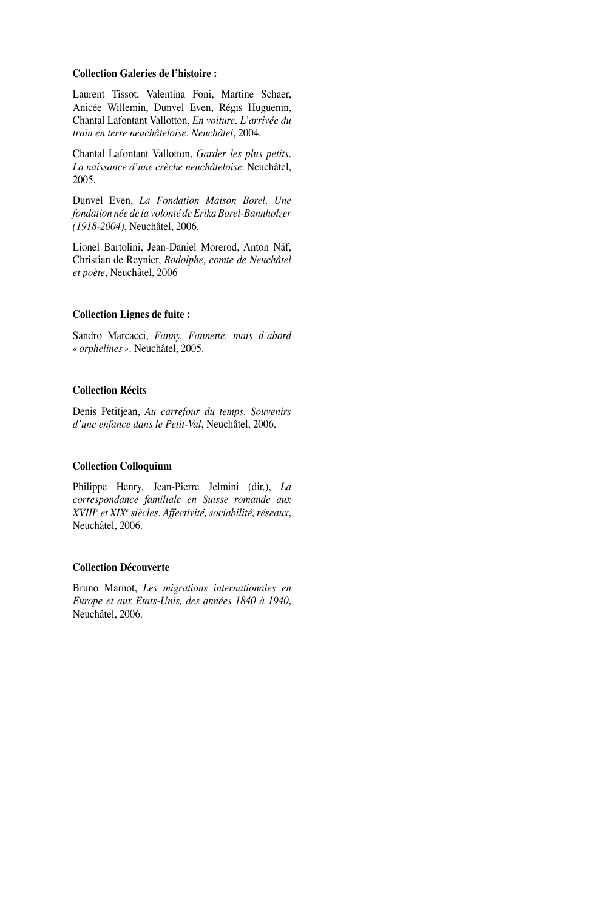#### **Collection Galeries de l'histoire :**

Laurent Tissot, Valentina Foni, Martine Schaer, Anicée Willemin, Dunvel Even, Régis Huguenin, Chantal Lafontant Vallotton, *En voiture. L'arrivée du train en terre neuchâteloise. Neuchâtel*, 2004.

Chantal Lafontant Vallotton, *Garder les plus petits. La naissance d'une crèche neuchâteloise*. Neuchâtel, 2005.

Dunvel Even, *La Fondation Maison Borel. Une fondation née de la volonté de Erika Borel-Bannholzer (1918-2004)*, Neuchâtel, 2006.

Lionel Bartolini, Jean-Daniel Morerod, Anton Näf, Christian de Reynier, *Rodolphe, comte de Neuchâtel et poète*, Neuchâtel, 2006

#### **Collection Lignes de fuite :**

Sandro Marcacci, *Fanny, Fannette, mais d'abord «orphelines».* Neuchâtel, 2005.

#### **Collection Récits**

Denis Petitjean, *Au carrefour du temps. Souvenirs d'une enfance dans le Petit-Val*, Neuchâtel, 2006.

#### **Collection Colloquium**

Philippe Henry, Jean-Pierre Jelmini (dir.), *La correspondance familiale en Suisse romande aux XVIIIe et XIXe siècles. Affectivité, sociabilité, réseaux*, Neuchâtel, 2006.

#### **Collection Découverte**

Bruno Marnot, *Les migrations internationales en Europe et aux Etats-Unis, des années 1840 à 1940*, Neuchâtel, 2006.